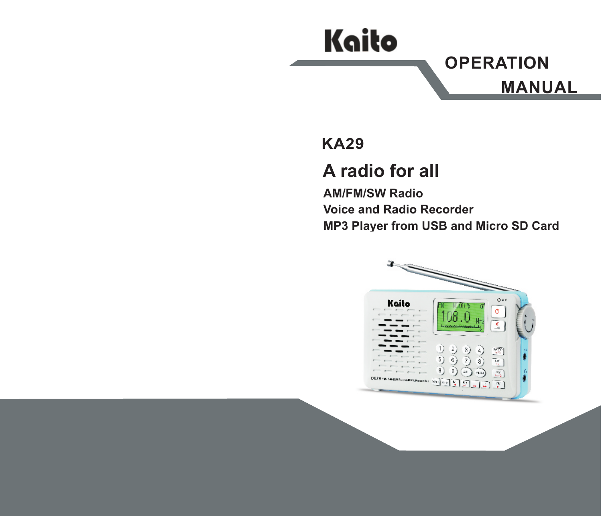# Kaito

**OPERATION** MANUAL

### KA29

# A radio for all

AM/FM/SW Radio Voice and Radio Recorder MP3 Player from USB and Micro SD Card

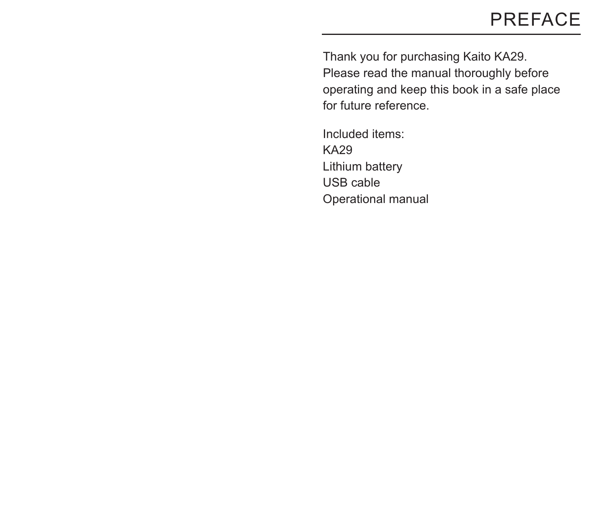# PREFACE

Thank you for purchasing Kaito KA29. Please read the manual thoroughly before operating and keep this book in a safe place for future reference.

Included items: KA29 Operational manual Lithium battery USB cable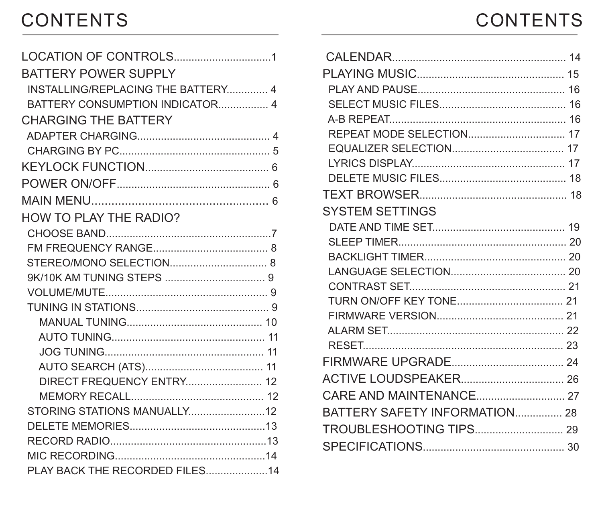# **CONTENTS**

| <b>CONTENTS</b> |  |  |  |  |
|-----------------|--|--|--|--|
|                 |  |  |  |  |

| BATTERY POWER SUPPLY               |  |
|------------------------------------|--|
| INSTALLING/REPLACING THE BATTERY 4 |  |
| BATTERY CONSUMPTION INDICATOR 4    |  |
| <b>CHARGING THE BATTERY</b>        |  |
|                                    |  |
|                                    |  |
|                                    |  |
|                                    |  |
|                                    |  |
| <b>HOW TO PLAY THE RADIO?</b>      |  |
|                                    |  |
|                                    |  |
|                                    |  |
|                                    |  |
|                                    |  |
|                                    |  |
|                                    |  |
|                                    |  |
|                                    |  |
|                                    |  |
| <b>DIRECT FREQUENCY ENTRY 12</b>   |  |
|                                    |  |
|                                    |  |
|                                    |  |
|                                    |  |
|                                    |  |
| PLAY BACK THE RECORDED FILES14     |  |

| <b>SYSTEM SETTINGS</b>        |  |
|-------------------------------|--|
|                               |  |
|                               |  |
|                               |  |
|                               |  |
|                               |  |
|                               |  |
|                               |  |
|                               |  |
|                               |  |
|                               |  |
|                               |  |
|                               |  |
| BATTERY SAFETY INFORMATION 28 |  |
|                               |  |
|                               |  |
|                               |  |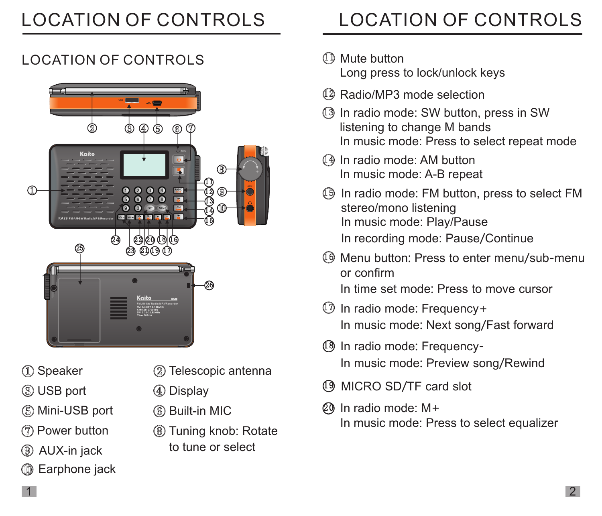# LOCATION OF CONTROLS

## LOCATION OF CONTROLS



- 
- USB port
- Mini-USB port
- Power button
- AUX-in jack
- **CO** Earphone jack
- 1 Speaker 2 Telescopic antenna
	- Display
	- Built-in MIC
	- Tuning knob: Rotate to tune or select

# LOCATION OF CONTROLS

- <sup>11</sup> Mute button Long press to lock/unlock keys
- 12 Radio/MP3 mode selection
- 13 In radio mode: SW button, press in SW listening to change M bands In music mode: Press to select repeat mode
- 14 In radio mode: AM button In music mode: A-B repeat
- 15 In radio mode: FM button, press to select FM stereo/mono listening In music mode: Play/Pause In recording mode: Pause/Continue
- 16 Menu button: Press to enter menu/sub-menu or confirm

In time set mode: Press to move cursor

- 17 In radio mode: Frequency+ In music mode: Next song/Fast forward
- 18 In radio mode: Frequency-In music mode: Preview song/Rewind
- 19 MICRO SD/TF card slot
- 20 In radio mode: M+ In music mode: Press to select equalizer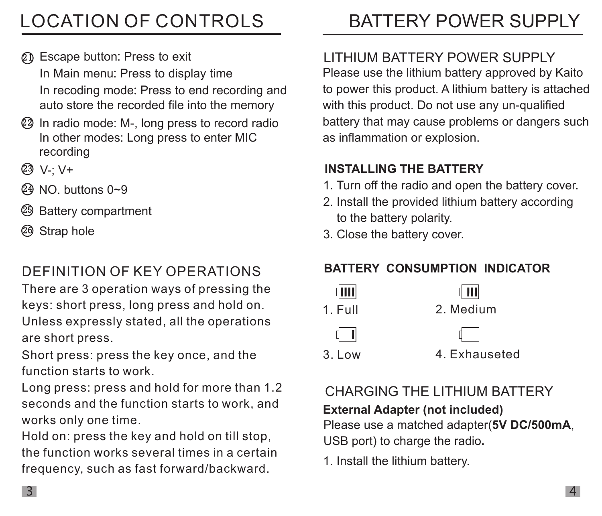# LOCATION OF CONTROLS

- 21 Escape button: Press to exit In Main menu: Press to display time In recoding mode: Press to end recording and auto store the recorded file into the memory
- 22 In radio mode: M-, long press to record radio In other modes: Long press to enter MIC recording
- 23 V-; V+
- 24 NO. buttons 0~9
- 25 Battery compartment
- 26 Strap hole

# DEFINITION OF KEY OPERATIONS

There are 3 operation ways of pressing the keys: short press, long press and hold on. Unless expressly stated, all the operations are short press.

Short press: press the key once, and the function starts to work.

Long press: press and hold for more than 1.2 seconds and the function starts to work, and works only one time.

Hold on: press the key and hold on till stop, the function works several times in a certain frequency, such as fast forward/backward.

# BATTERY POWER SUPPLY

#### Please use the lithium battery approved by Kaito to power this product. A lithium battery is attached with this product. Do not use any un-qualified battery that may cause problems or dangers such as inflammation or explosion. LITHIUM BATTERY POWER SUPPLY

#### INSTALLING THE BATTERY

- 1. Turn off the radio and open the battery cover.
- 2. Install the provided lithium battery according to the battery polarity.
- 3. Close the battery cover.

#### BATTERY CONSUMPTION INDICATOR



# CHARGING THE LITHIUM BATTERY

External Adapter (not included)

Please use a matched adapter(5V DC/500mA, USB port) to charge the radio.

1. Install the lithium battery.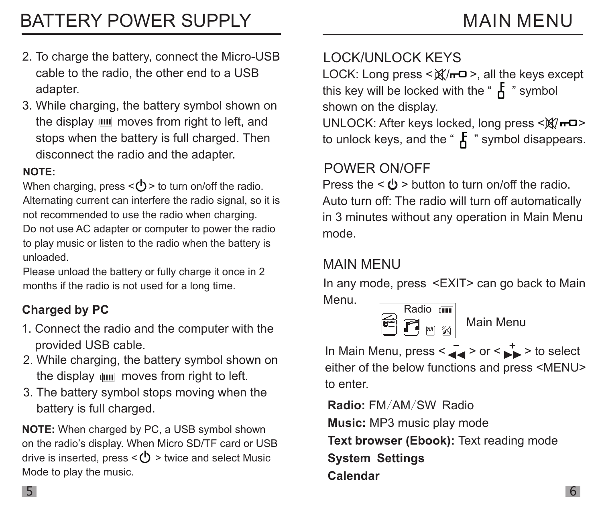- 2. To charge the battery, connect the Micro-USB cable to the radio, the other end to a USB adapter.
- 3. While charging, the battery symbol shown on the display  $\overline{u}\overline{u}$  moves from right to left, and stops when the battery is full charged. Then disconnect the radio and the adapter.

#### NOTE:

When charging, press  $\langle \cdot \rangle$  to turn on/off the radio. Alternating current can interfere the radio signal, so it is not recommended to use the radio when charging. Do not use AC adapter or computer to power the radio to play music or listen to the radio when the battery is unloaded.

Please unload the battery or fully charge it once in 2 months if the radio is not used for a long time.

### Charged by PC

- 1. Connect the radio and the computer with the provided USB cable.
- 2. While charging, the battery symbol shown on the display  $\lim$  moves from right to left.
- 3. The battery symbol stops moving when the battery is full charged.

NOTE: When charged by PC, a USB symbol shown on the radio's display. When Micro SD/TF card or USB drive is inserted, press  $\langle \bigcup \rangle$  > twice and select Music Mode to play the music.

### LOCK/UNLOCK KEYS

LOCK: Long press  $\leq \mathbb{X}/\sqrt{2}$  >, all the keys except this key will be locked with the " $\boldsymbol{F}$ " symbol shown on the display.

UNLOCK: After keys locked, long press < $\mathbb{X}/-\square$ > to unlock keys, and the " $\overline{A}$ " symbol disappears.

#### POWER ON/OFF

Press the  $\langle \cdot \rangle$  > button to turn on/off the radio. Auto turn off: The radio will turn off automatically in 3 minutes without any operation in Main Menu mode.

#### MAIN MENU

In any mode, press <EXIT> can go back to Main Menu.



Main Menu

In Main Menu, press < $\overline{\bullet}$  > or <  $\overline{\bullet}$  > to select either of the below functions and press <MENU> to enter.

Radio: FM/AM/SW Radio Music: MP3 music play mode Text browser (Ebook): Text reading mode System Settings Calendar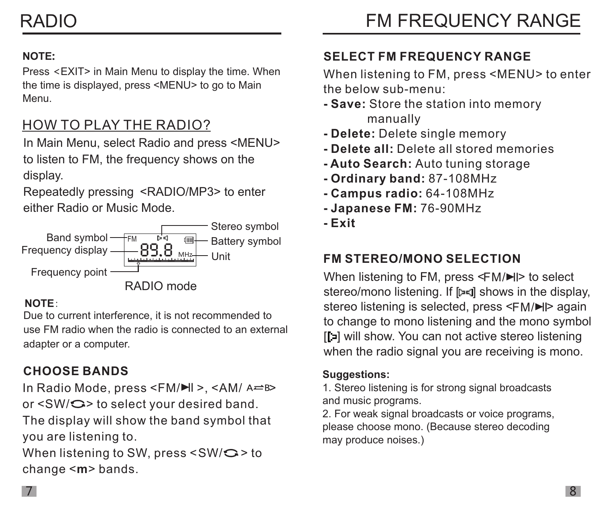#### NOTE:

Press <EXIT> in Main Menu to display the time. When the time is displayed, press <MENU> to go to Main Menu.

#### HOW TO PLAY THE RADIO?

In Main Menu, select Radio and press <MENU> to listen to FM, the frequency shows on the display.

Repeatedly pressing <RADIO/MP3> to enter either Radio or Music Mode.



#### NOTE:

Due to current interference, it is not recommended to use FM radio when the radio is connected to an external adapter or a computer.

#### CHOOSE BANDS

In Radio Mode, press <FM/H >, <AM/ A=B> or  $\langle SW/\mathbf{C}\rangle$  to select your desired band.

The display will show the band symbol that you are listening to.

When listening to SW, press  $<$ SW/ $\bigcirc$  > to change <m> bands.

#### SELECT FM FREQUENCY RANGE

When listening to FM, press <MENU> to enter the below sub-menu:

- Save: Store the station into memory manually
- Delete: Delete single memory
- Delete all: Delete all stored memories
- Auto Search: Auto tuning storage
- Ordinary band: 87-108MHz
- Campus radio: 64-108MHz
- Japanese FM: 76-90MHz
- Exit

#### FM STEREO/MONO SELECTION

When listening to FM, press <FM/▶I> to select stereo/mono listening. If [D=] shows in the display, stereo listening is selected, press <FM/**▶I**> again to change to mono listening and the mono symbol [ ] will show. You can not active stereo listening when the radio signal you are receiving is mono.

#### Suggestions:

1. Stereo listening is for strong signal broadcasts and music programs.

2. For weak signal broadcasts or voice programs, please choose mono. (Because stereo decoding may produce noises.)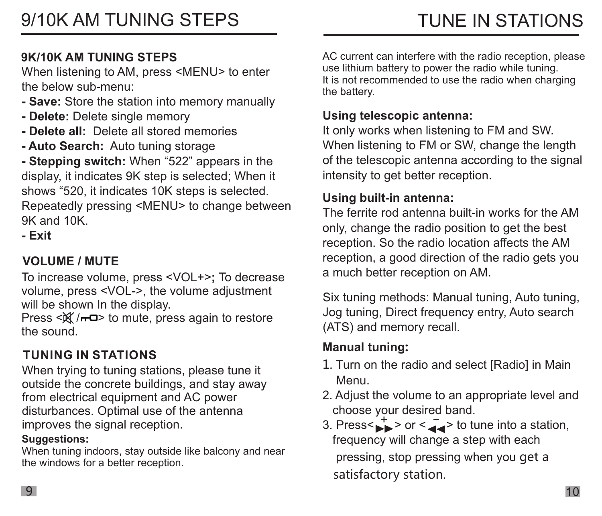#### 9K/10K AM TUNING STEPS

the below sub-menu: When listening to AM, press <MENU> to enter

- Save: Store the station into memory manually
- Delete: Delete single memory
- Delete all: Delete all stored memories
- Auto Search: Auto tuning storage

- Stepping switch: When "522" appears in the display, it indicates 9K step is selected; When it shows "520, it indicates 10K steps is selected. Repeatedly pressing <MENU> to change between

9K and 10K. - Exit

#### VOLUME / MUTE

To increase volume, press <VOL+>; To decrease volume, press <VOL->, the volume adjustment will be shown In the display.

Press  $\langle \mathbb{X}/\mathbb{H} \rangle$  to mute, press again to restore the sound.

#### TUNING IN STATIONS

When trying to tuning stations, please tune it outside the concrete buildings, and stay away from electrical equipment and AC power disturbances. Optimal use of the antenna improves the signal reception.

#### Suggestions:

When tuning indoors, stay outside like balcony and near the windows for a better reception.

AC current can interfere with the radio reception, please use lithium battery to power the radio while tuning. It is not recommended to use the radio when charging the battery.

#### Using telescopic antenna:

It only works when listening to FM and SW. When listening to FM or SW, change the length of the telescopic antenna according to the signal intensity to get better reception.

#### Using built-in antenna:

The ferrite rod antenna built-in works for the AM only, change the radio position to get the best reception. So the radio location affects the AM reception, a good direction of the radio gets you a much better reception on AM.

Six tuning methods: Manual tuning, Auto tuning, Jog tuning, Direct frequency entry, Auto search (ATS) and memory recall.

#### Manual tuning:

- 1. Turn on the radio and select [Radio] in Main Menu.
- 2. Adjust the volume to an appropriate level and choose your desired band.
- 3. Press< $\stackrel{+}{\longrightarrow}$  > or < $\stackrel{-}{\longrightarrow}$  to tune into a station, frequency will change a step with each pressing, stop pressing when you get a satisfactory station.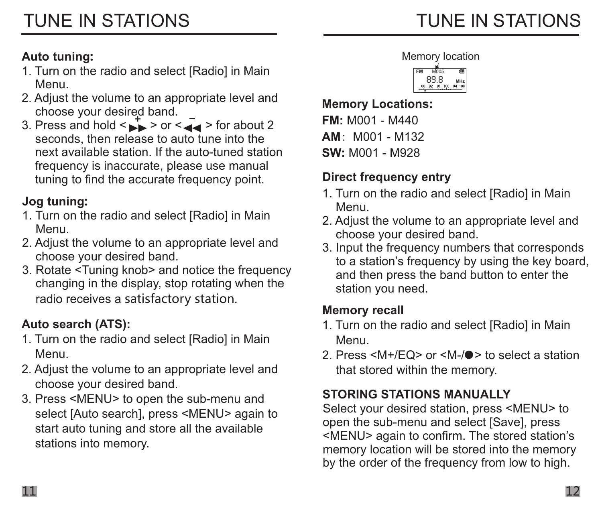#### Auto tuning:

- Menu. 1. Turn on the radio and select [Radio] in Main
- 2. Adjust the volume to an appropriate level and choose your desired band.
- 3. Press and hold  $\leq$   $\rightarrow$   $>$  or  $\leq$   $\leq$   $\leq$   $>$  for about 2 seconds, then release to auto tune into the next available station. If the auto-tuned station frequency is inaccurate, please use manual tuning to find the accurate frequency point.

#### Jog tuning:

- Menu. 1. Turn on the radio and select [Radio] in Main
- 2. Adjust the volume to an appropriate level and choose your desired band.
- 3. Rotate <Tuning knob> and notice the frequency changing in the display, stop rotating when the radio receives a satisfactory station.

#### Auto search (ATS):

- 1. Turn on the radio and select [Radio] in Main Menu.
- 2. Adjust the volume to an appropriate level and choose your desired band.
- 3. Press <MENU> to open the sub-menu and select [Auto search], press <MENU> again to start auto tuning and store all the available stations into memory.





Memory Locations: FM: M001 - M440  $AM: M001 - M132$ SW: M001 - M928

#### Direct frequency entry

- 1. Turn on the radio and select [Radio] in Main Menu.
- 2. Adjust the volume to an appropriate level and choose your desired band.
- 3. Input the frequency numbers that corresponds to a station's frequency by using the key board, and then press the band button to enter the station you need.

#### Memory recall

- 1. Turn on the radio and select [Radio] in Main Menu.
- 2. Press <M+/FQ> or <M-/ $\bullet$ > to select a station that stored within the memory.

#### STORING STATIONS MANUALLY

Select your desired station, press <MENU> to open the sub-menu and select [Save], press <MENU> again to confirm. The stored station's memory location will be stored into the memory by the order of the frequency from low to high.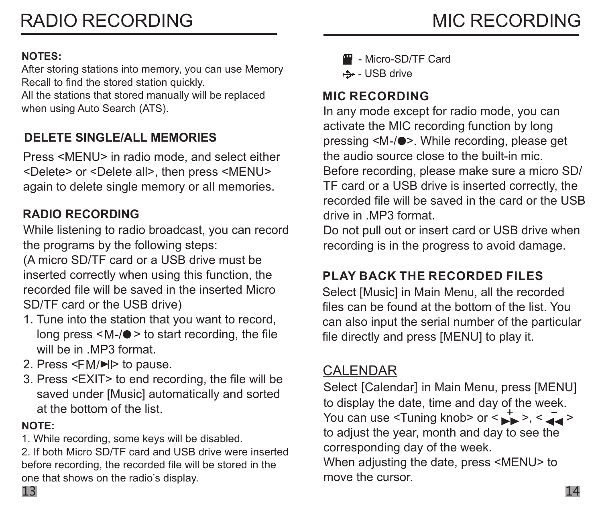#### NOTES:

After storing stations into memory, you can use Memory Recall to find the stored station quickly. All the stations that stored manually will be replaced when using Auto Search (ATS).

#### DELETE SINGLE/ALL MEMORIES

Press <MENU> in radio mode, and select either <Delete> or <Delete all>, then press <MENU> again to delete single memory or all memories.

#### RADIO RECORDING

While listening to radio broadcast, you can record the programs by the following steps:

(A micro SD/TF card or a USB drive must be inserted correctly when using this function, the recorded file will be saved in the inserted Micro SD/TF card or the USB drive)

- 1. Tune into the station that you want to record, long press  $\leq M$ -/ $\bullet$  > to start recording, the file will be in MP3 format.
- 2. Press <FM/**▶**l> to pause.
- 3. Press <EXIT> to end recording, the file will be saved under [Music] automatically and sorted at the bottom of the list.

#### NOTE:

1. While recording, some keys will be disabled.

2. If both Micro SD/TF card and USB drive were inserted before recording, the recorded file will be stored in the one that shows on the radio's display.

- Micro-SD/TF Card
- USB drive

#### MIC RECORDING

In any mode except for radio mode, you can activate the MIC recording function by long pressing <M-/ $\bullet$ >. While recording, please get the audio source close to the built-in mic. Before recording, please make sure a micro SD/ TF card or a USB drive is inserted correctly, the recorded file will be saved in the card or the USB drive in .MP3 format.

Do not pull out or insert card or USB drive when recording is in the progress to avoid damage.

#### PLAY BACK THE RECORDED FILES

Select [Music] in Main Menu, all the recorded files can be found at the bottom of the list. You can also input the serial number of the particular file directly and press [MENU] to play it.

#### CALENDAR

Select [Calendar] in Main Menu, press [MENU] to display the date, time and day of the week. You can use <Tuning knob> or < $\leftrightarrow$  >, < $\leftrightarrow$ to adjust the year, month and day to see the corresponding day of the week.

When adjusting the date, press <MENU> to move the cursor.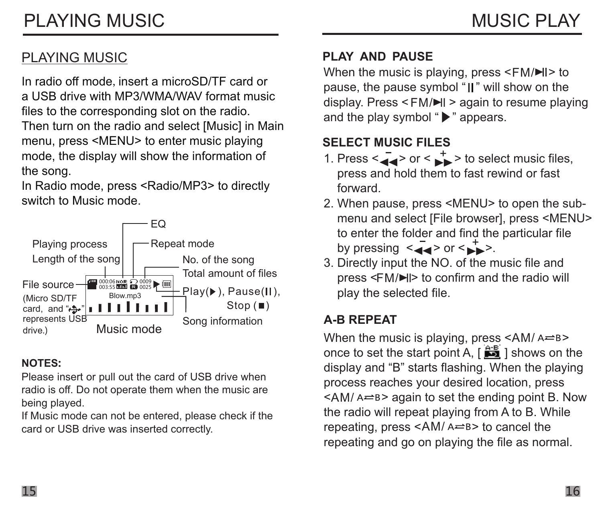#### PLAYING MUSIC

In radio off mode,insert a micro SD/TF card or a USB drive with MP3/WMA/WAV format music files to the corresponding slot on the radio. Then turn on the radio and select [Music] in Main menu, press <MENU> to enter music playing mode, the display will show the information of the song.

In Radio mode, press <Radio/MP3> to directly switch to Music mode .



#### NOTES:

Please insert or pull out the card of USB drive when radio is off. Do not operate them when the music are being played.

If Music mode can not be entered, please check if the card or USB drive was inserted correctly.

#### PLAY AND PAUSE

When the music is playing, press  $\leq$ FM/ $\blacktriangleright$ II> to display. Press < FM/**➡I** > again to resume playing pause, the pause symbol "II" will show on the and the play symbol " $\blacktriangleright$ " appears.

#### SELECT MUSIC FILES

- 1. Press  $\leq$   $\leq$  > or  $\leq$   $\geq$  > to select music files, press and hold them to fast rewind or fast forward.
- 2. When pause, press <MENU> to open the sub menu and select [File browser], press <MENU> to enter the folder and find the particular file by pressing  $\leq$   $\leq$   $\leq$   $\geq$  or  $\leq$   $\geq$   $\geq$ .
- 3. Directly input the NO. of the music file and press < > to confirm and the radio will FM/ play the selected file.

#### A-B REPEAT

When the music is playing, press <AM/  $\triangle \texttt{B>}$ once to set the start point A,  $\int \frac{d^2 E}{d\mu}$  ] shows on the display and "B" starts flashing. When the playing process reaches your desired location, press  $\leq$ AM/ A $\rightleftharpoons$  B> again to set the ending point B. Now the radio will repeat playing from A to B. While repeating, press <AM/ A=B> to cancel the repeating and go on playing the file as normal.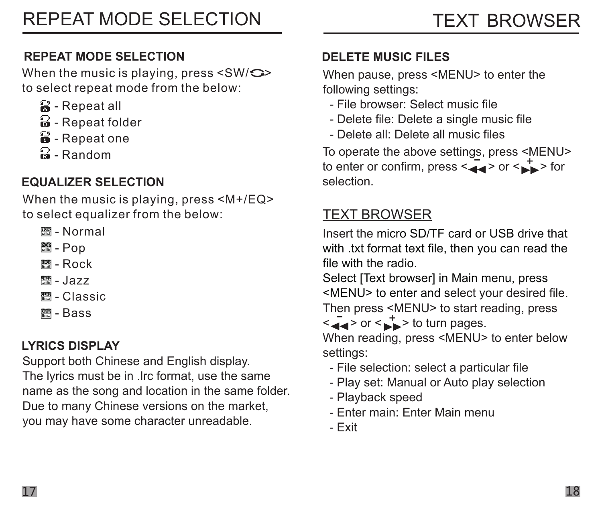#### REPEAT MODE SELECTION

When the music is playing, press  $\leq$ SW/ $\bigcirc$ > to select repeat mode from the below:

- 음 Repeat all
- $\widehat{a}$  Repeat folder
- $\mathbf{\hat{a}}$  Repeat one
- $\Omega$  Random

#### EQUALIZER SELECTION

When the music is playing, press <M+/EQ> to select equalizer from the below:

- **图-Normal**
- ess<sub>-</sub> Pop
- **图- Rock**
- **|- Jazz**
- **■- Classic**
- **图**-Bass

#### LYRICS DISPLAY

Support both Chinese and English display. The lyrics must be in .lrc format, use the same name as the song and location in the same folder. Due to many Chinese versions on the market, you may have some character unreadable.

#### DELETE MUSIC FILES

When pause, press <MENU> to enter the following settings:

- File browser: Select music file
- Delete file: Delete a single music file
- Delete all: Delete all music files

To operate the above settings, press <MENU> to enter or confirm, press < $\leftarrow$  > or < $\leftarrow$  > for selection.

#### TEXT BROWSER

Insert the micro SD/TF card or USB drive that with .txt format text file, then you can read the file with the radio.

<MENU> to enter and select your desired file. Then press <MENU> to start reading, press Select **IText browserl in Main menu**, press

 $\leq$   $\leq$   $\geq$  or  $\leq$   $\geq$  > to turn pages.

When reading, press <MENU> to enter below settings:

- File selection: select a particular file
- Play set: Manual or Auto play selection
- Playback speed
- Enter main: Enter Main menu
- Exit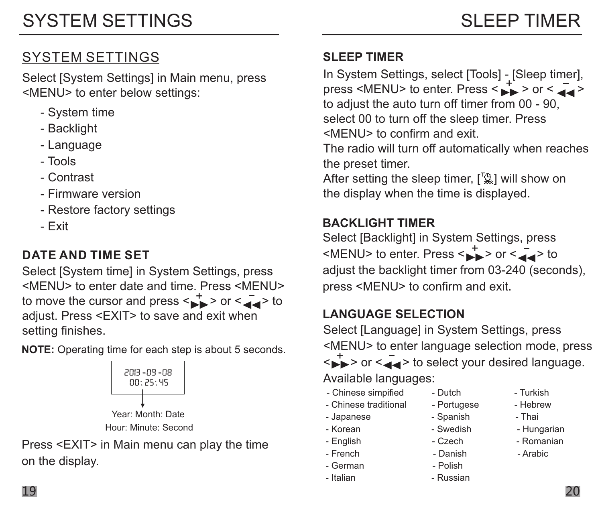#### SYSTEM SETTINGS

Select [System Settings] in Main menu, press <MENU> to enter below settings:

- System time
- Backlight
- Language
- Tools
- Contrast
- Firmware version
- Restore factory settings
- Exit

#### DATE AND TIME SET

Select [System time] in System Settings, press <MENU> to enter date and time. Press <MENU> to move the cursor and press  $\leq$  > or  $\leq$   $\leq$   $\leq$   $\leq$   $\leq$  to adjust. Press <EXIT> to save and exit when setting finishes.

NOTE: Operating time for each step is about 5 seconds.



Press <EXIT> in Main menu can play the time on the display.

#### SLEEP TIMER

In System Settings, select [Tools] - [Sleep timer], press <MENU> to enter. Press < $\leftrightarrow$  > or < $\leftrightarrow$  > to adjust the auto turn off timer from 00 - 90, select 00 to turn off the sleep timer. Press <MENU> to confirm and exit.

The radio will turn off automatically when reaches the preset timer.

After setting the sleep timer,  $\lceil \frac{m}{k} \rceil$  will show on the display when the time is displayed.

#### **BACKLIGHT TIMER**

Select [Backlight] in System Settings, press  $\leq MENU$  to enter. Press  $\leq \rightarrow \infty$  or  $\leq \leq \infty$  to adiust the backlight timer from 03-240 (seconds). press <MENU> to confirm and exit.

#### LANGUAGE SELECTION

Select [Language] in System Settings, press <MENU> to enter language selection mode, press  $\leftrightarrow$  > or  $\le$   $\leftarrow$  > to select your desired language.

Available languages:

- Chinese simpified Dutch Turkish
- Chinese traditional Portugese Hebrew
- Japanese Spanish Thai
- 
- 
- 
- German Polish
- Italian Russian
- 
- 
- 
- Korean Swedish Hungarian
- English Czech Romanian
- French Danish Arabic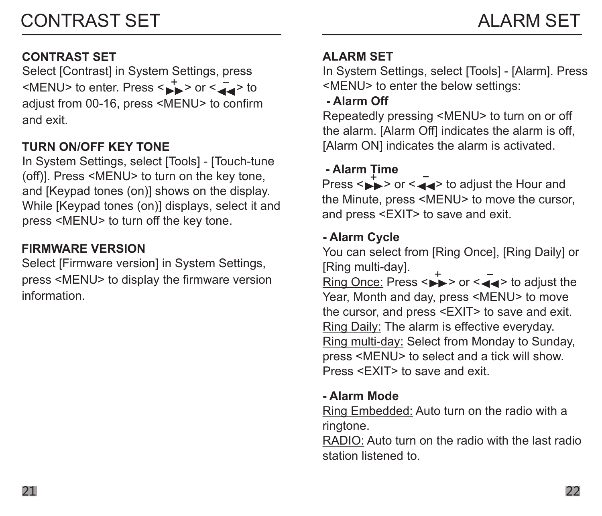#### CONTRAST SET

Select [Contrast] in System Settings, press  $\leq MENU$  to enter. Press  $\leq$   $\rightarrow$   $>$  or  $\leq$   $\leq$   $\leq$   $>$  to adjust from 00-16, press <MENU> to confirm and exit.

#### TURN ON/OFF KEY TONE

In System Settings, select [Tools] - [Touch-tune (off)]. Press <MENU> to turn on the key tone, and [Keypad tones (on)] shows on the display. While [Keypad tones (on)] displays, select it and press <MENU> to turn off the key tone.

#### FIRMWARE VERSION

Select [Firmware version] in System Settings, press <MENU> to display the firmware version information.

#### ALARM SET

In System Settings, select [Tools] - [Alarm]. Press <MENU> to enter the below settings:

- Alarm Off

Repeatedly pressing <MENU> to turn on or off the alarm. [Alarm Off] indicates the alarm is off. [Alarm ON] indicates the alarm is activated.

#### - Alarm Time

 $Press < \rightarrow > or < \rightarrow > to$  adjust the Hour and the Minute, press <MENU> to move the cursor, and press <EXIT> to save and exit.

#### - Alarm Cycle

You can select from [Ring Once], [Ring Daily] or [Ring multi-day].

 $\frac{Ring \dots} {Ring \text{ Once: } }$  Press < $\blacktriangleright$  > or < $\blacktriangleleft$  > to adjust the Year, Month and day, press <MENU> to move the cursor, and press <EXIT> to save and exit. Ring Daily: The alarm is effective everyday. Ring multi-day: Select from Monday to Sunday, press <MENU> to select and a tick will show. Press <FXIT> to save and exit.

#### - Alarm Mode

Ring Embedded: Auto turn on the radio with a ringtone.

RADIO: Auto turn on the radio with the last radio station listened to.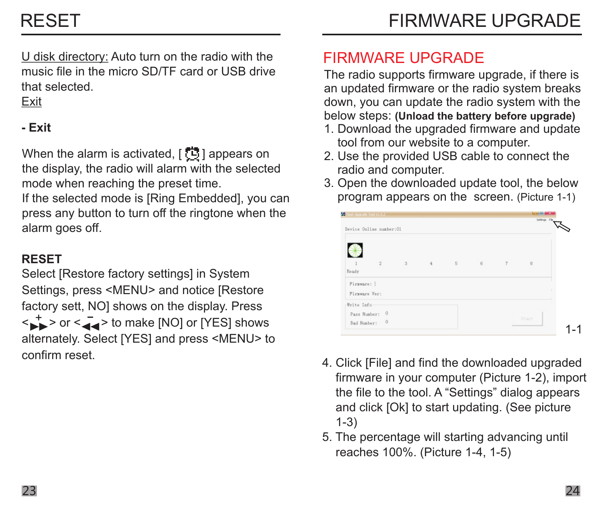U disk directory: Auto turn on the radio with the music file in the micro SD/TF card or USB drive that selected.

#### Exit

#### - Exit

When the alarm is activated,  $[\mathbb{G}]$  appears on the display, the radio will alarm with the selected mode when reaching the preset time.

If the selected mode is [Ring Embedded], you can press any button to turn off the ringtone when the alarm goes off.

#### RESET

Select [Restore factory settings] in System Settings, press <MENU> and notice [Restore factory sett, NO] shows on the display. Press  $\langle \rightarrow \rangle$  or  $\langle \rightarrow \rangle$  to make [NO] or [YES] shows alternately. Select [YES] and press <MENU> to confirm reset.

## FIRMWARE UPGRADE

The radio supports firmware upgrade, if there is an updated firmware or the radio system breaks down, you can update the radio system with the below steps: (Unload the battery before upgrade)

- 1. Download the upgraded firmware and update tool from our website to a computer.
- 2. Use the provided USB cable to connect the radio and computer.
- 3. Open the downloaded update tool, the below program appears on the screen. (Picture 1-1)

| <b>Continued follows</b><br>Device Online number:01 |   |                       |   |   | Settings File |  |
|-----------------------------------------------------|---|-----------------------|---|---|---------------|--|
| <b>Esady</b>                                        | 2 | $3 \qquad 4 \qquad 5$ | 6 | 7 | B             |  |
| Firaware:  <br>Firaware Ver:                        |   |                       |   |   |               |  |
| Write Info<br>Pagg Number: 0<br>Bad Number: 0       |   |                       |   |   | Start         |  |

- 4. Click [File] and find the downloaded upgraded firmware in your computer (Picture 1-2), import the file to the tool. A "Settings" dialog appears and click [Ok] to start updating. (See picture 1-3)
- 5. The percentage will starting advancing until reaches 100%. (Picture 1-4, 1-5)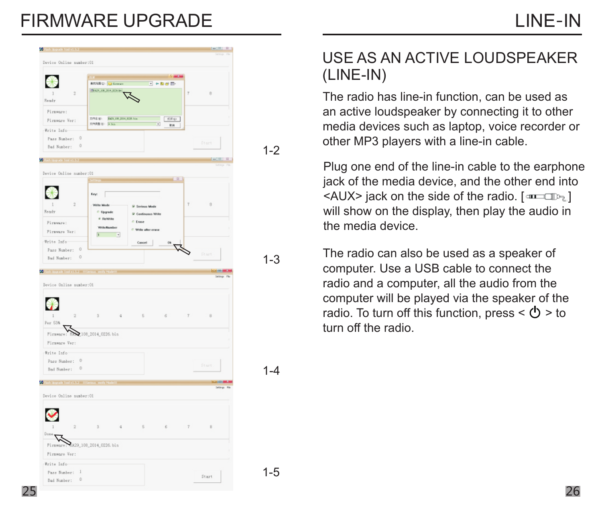# FIRMWARE UPGRADE



#### $1 - 2$

1-3

1-4

1-5

#### USE AS AN ACTIVE LOUDSPEAKER (LINE-IN)

The radio has line-in function, can be used as an active loudspeaker by connecting it to other media devices such as laptop, voice recorder or other MP3 players with a line-in cable.

Plug one end of the line-in cable to the earphone jack of the media device, and the other end into  $\leq$ AUX $>$  jack on the side of the radio.  $\lceil \frac{1}{2} \cdot \frac{1}{2} \rceil$ will show on the display, then play the audio in the media device.

The radio can also be used as a speaker of computer. Use a USB cable to connect the radio and a computer, all the audio from the computer will be played via the speaker of the radio. To turn off this function, press  $\langle \mathbf{b} \rangle$  > to turn off the radio.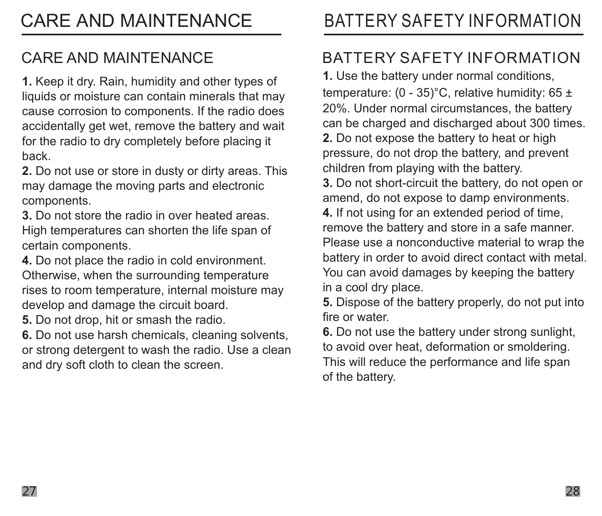### CARE AND MAINTENANCE

1. Keep it dry. Rain, humidity and other types of liquids or moisture can contain minerals that may cause corrosion to components. If the radio does accidentally get wet, remove the battery and wait for the radio to dry completely before placing it back.

2. Do not use or store in dusty or dirty areas. This may damage the moving parts and electronic components.

3. Do not store the radio in over heated areas. High temperatures can shorten the life span of certain components.

4. Do not place the radio in cold environment. Otherwise, when the surrounding temperature rises to room temperature, internal moisture may develop and damage the circuit board.

5. Do not drop, hit or smash the radio.

6. Do not use harsh chemicals, cleaning solvents, or strong detergent to wash the radio. Use a clean and dry soft cloth to clean the screen.

# CARE AND MAINTENANCE BATTERY SAFETY INFORMATION

### BATTERY SAFETY INFORMATION

1. Use the battery under normal conditions, temperature:  $(0 - 35)$ °C, relative humidity: 65 ± 20%. Under normal circumstances, the battery can be charged and discharged about 300 times. 2. Do not expose the battery to heat or high pressure, do not drop the battery, and prevent children from playing with the battery. 3. Do not short-circuit the battery, do not open or amend, do not expose to damp environments. 4. If not using for an extended period of time, remove the battery and store in a safe manner. Please use a nonconductive material to wrap the battery in order to avoid direct contact with metal. You can avoid damages by keeping the battery in a cool dry place.

5. Dispose of the battery properly, do not put into fire or water.

6. Do not use the battery under strong sunlight, to avoid over heat, deformation or smoldering. This will reduce the performance and life span of the battery.